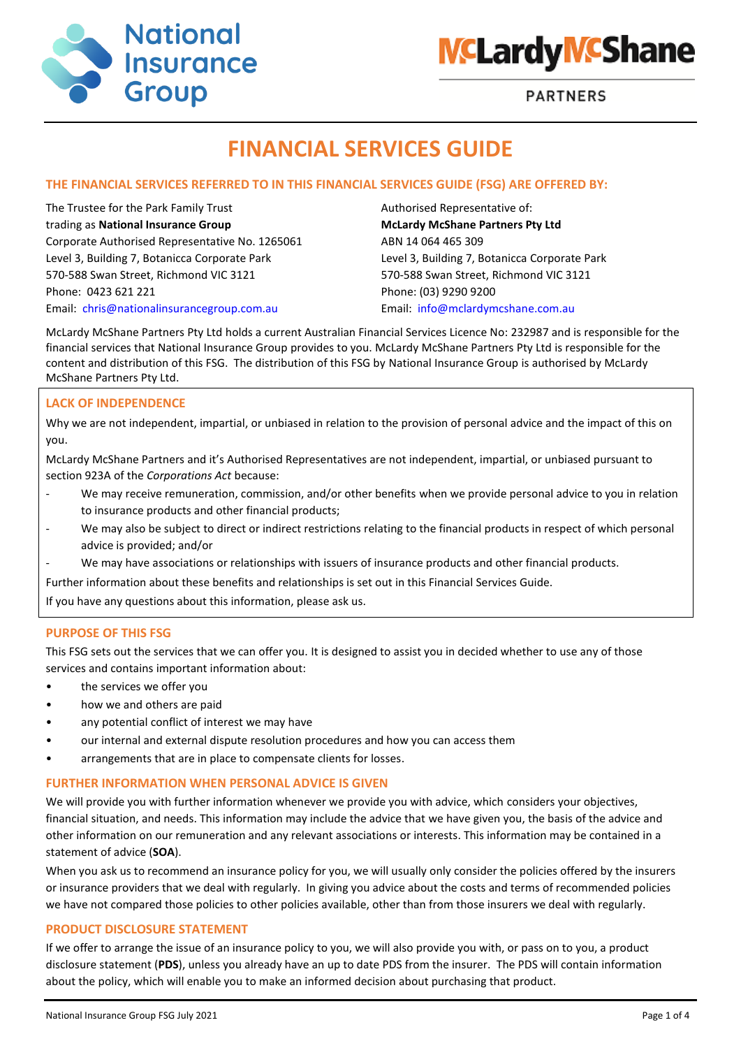



**PARTNERS** 

# **FINANCIAL SERVICES GUIDE**

# **THE FINANCIAL SERVICES REFERRED TO IN THIS FINANCIAL SERVICES GUIDE (FSG) ARE OFFERED BY:**

The Trustee for the Park Family Trust Authorised Representative of: trading as **National Insurance Group McLardy McShane Partners Pty Ltd** Corporate Authorised Representative No. 1265061 ABN 14 064 465 309 Level 3, Building 7, Botanicca Corporate Park Level 3, Building 7, Botanicca Corporate Park 570-588 Swan Street, Richmond VIC 3121 570-588 Swan Street, Richmond VIC 3121 Phone: 0423 621 221 Phone: (03) 9290 9200 Email: [chris@nationalinsurancegroup.com.au](mailto:chris@nationalinsurancegroup.com.au) Email: [info@mclardymcshane.com.au](mailto:info@mclardymcshane.com.au)

McLardy McShane Partners Pty Ltd holds a current Australian Financial Services Licence No: 232987 and is responsible for the financial services that National Insurance Group provides to you. McLardy McShane Partners Pty Ltd is responsible for the content and distribution of this FSG. The distribution of this FSG by National Insurance Group is authorised by McLardy McShane Partners Pty Ltd.

# **LACK OF INDEPENDENCE**

Why we are not independent, impartial, or unbiased in relation to the provision of personal advice and the impact of this on you.

McLardy McShane Partners and it's Authorised Representatives are not independent, impartial, or unbiased pursuant to section 923A of the *Corporations Act* because:

- We may receive remuneration, commission, and/or other benefits when we provide personal advice to you in relation to insurance products and other financial products;
- We may also be subject to direct or indirect restrictions relating to the financial products in respect of which personal advice is provided; and/or
- We may have associations or relationships with issuers of insurance products and other financial products.

Further information about these benefits and relationships is set out in this Financial Services Guide.

If you have any questions about this information, please ask us.

#### **PURPOSE OF THIS FSG**

This FSG sets out the services that we can offer you. It is designed to assist you in decided whether to use any of those services and contains important information about:

- the services we offer you
- how we and others are paid
- any potential conflict of interest we may have
- our internal and external dispute resolution procedures and how you can access them
- arrangements that are in place to compensate clients for losses.

## **FURTHER INFORMATION WHEN PERSONAL ADVICE IS GIVEN**

We will provide you with further information whenever we provide you with advice, which considers your objectives, financial situation, and needs. This information may include the advice that we have given you, the basis of the advice and other information on our remuneration and any relevant associations or interests. This information may be contained in a statement of advice (**SOA**).

When you ask us to recommend an insurance policy for you, we will usually only consider the policies offered by the insurers or insurance providers that we deal with regularly. In giving you advice about the costs and terms of recommended policies we have not compared those policies to other policies available, other than from those insurers we deal with regularly.

#### **PRODUCT DISCLOSURE STATEMENT**

If we offer to arrange the issue of an insurance policy to you, we will also provide you with, or pass on to you, a product disclosure statement (**PDS**), unless you already have an up to date PDS from the insurer. The PDS will contain information about the policy, which will enable you to make an informed decision about purchasing that product.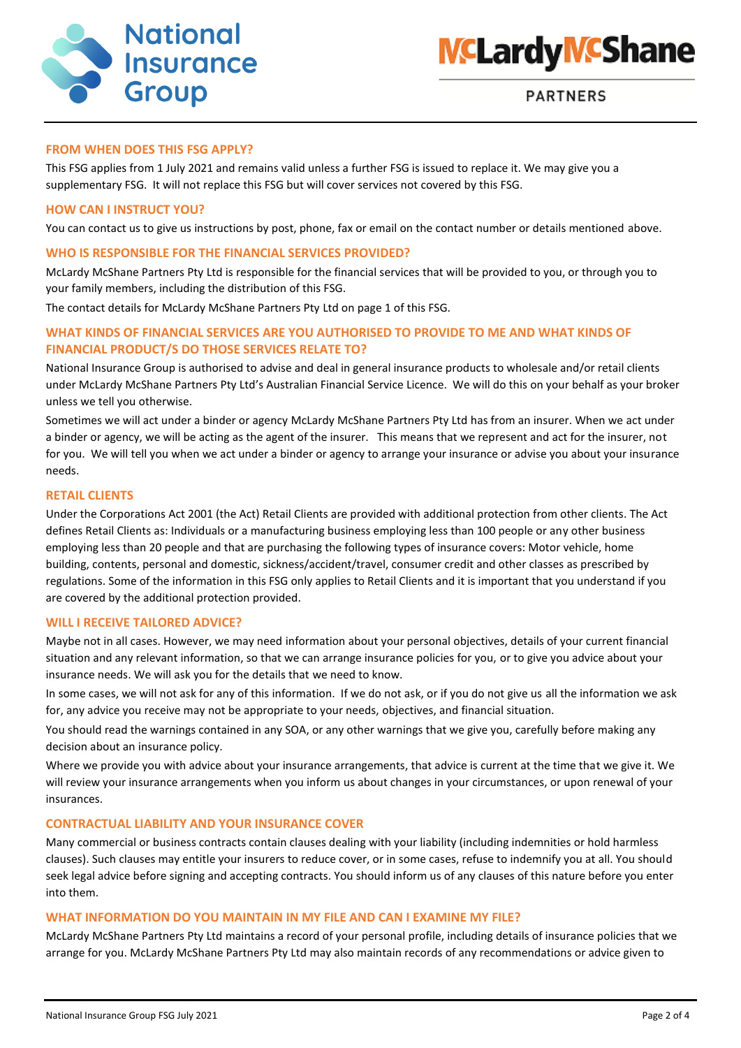



#### **FROM WHEN DOES THIS FSG APPLY?**

This FSG applies from 1 July 2021 and remains valid unless a further FSG is issued to replace it. We may give you a supplementary FSG. It will not replace this FSG but will cover services not covered by this FSG.

#### **HOW CAN I INSTRUCT YOU?**

You can contact us to give us instructions by post, phone, fax or email on the contact number or details mentioned above.

#### **WHO IS RESPONSIBLE FOR THE FINANCIAL SERVICES PROVIDED?**

McLardy McShane Partners Pty Ltd is responsible for the financial services that will be provided to you, or through you to your family members, including the distribution of this FSG.

The contact details for McLardy McShane Partners Pty Ltd on page 1 of this FSG.

## **WHAT KINDS OF FINANCIAL SERVICES ARE YOU AUTHORISED TO PROVIDE TO ME AND WHAT KINDS OF FINANCIAL PRODUCT/S DO THOSE SERVICES RELATE TO?**

National Insurance Group is authorised to advise and deal in general insurance products to wholesale and/or retail clients under McLardy McShane Partners Pty Ltd's Australian Financial Service Licence. We will do this on your behalf as your broker unless we tell you otherwise.

Sometimes we will act under a binder or agency McLardy McShane Partners Pty Ltd has from an insurer. When we act under a binder or agency, we will be acting as the agent of the insurer. This means that we represent and act for the insurer, not for you. We will tell you when we act under a binder or agency to arrange your insurance or advise you about your insurance needs.

#### **RETAIL CLIENTS**

Under the Corporations Act 2001 (the Act) Retail Clients are provided with additional protection from other clients. The Act defines Retail Clients as: Individuals or a manufacturing business employing less than 100 people or any other business employing less than 20 people and that are purchasing the following types of insurance covers: Motor vehicle, home building, contents, personal and domestic, sickness/accident/travel, consumer credit and other classes as prescribed by regulations. Some of the information in this FSG only applies to Retail Clients and it is important that you understand if you are covered by the additional protection provided.

#### **WILL I RECEIVE TAILORED ADVICE?**

Maybe not in all cases. However, we may need information about your personal objectives, details of your current financial situation and any relevant information, so that we can arrange insurance policies for you, or to give you advice about your insurance needs. We will ask you for the details that we need to know.

In some cases, we will not ask for any of this information. If we do not ask, or if you do not give us all the information we ask for, any advice you receive may not be appropriate to your needs, objectives, and financial situation.

You should read the warnings contained in any SOA, or any other warnings that we give you, carefully before making any decision about an insurance policy.

Where we provide you with advice about your insurance arrangements, that advice is current at the time that we give it. We will review your insurance arrangements when you inform us about changes in your circumstances, or upon renewal of your insurances.

#### **CONTRACTUAL LIABILITY AND YOUR INSURANCE COVER**

Many commercial or business contracts contain clauses dealing with your liability (including indemnities or hold harmless clauses). Such clauses may entitle your insurers to reduce cover, or in some cases, refuse to indemnify you at all. You should seek legal advice before signing and accepting contracts. You should inform us of any clauses of this nature before you enter into them.

## **WHAT INFORMATION DO YOU MAINTAIN IN MY FILE AND CAN I EXAMINE MY FILE?**

McLardy McShane Partners Pty Ltd maintains a record of your personal profile, including details of insurance policies that we arrange for you. McLardy McShane Partners Pty Ltd may also maintain records of any recommendations or advice given to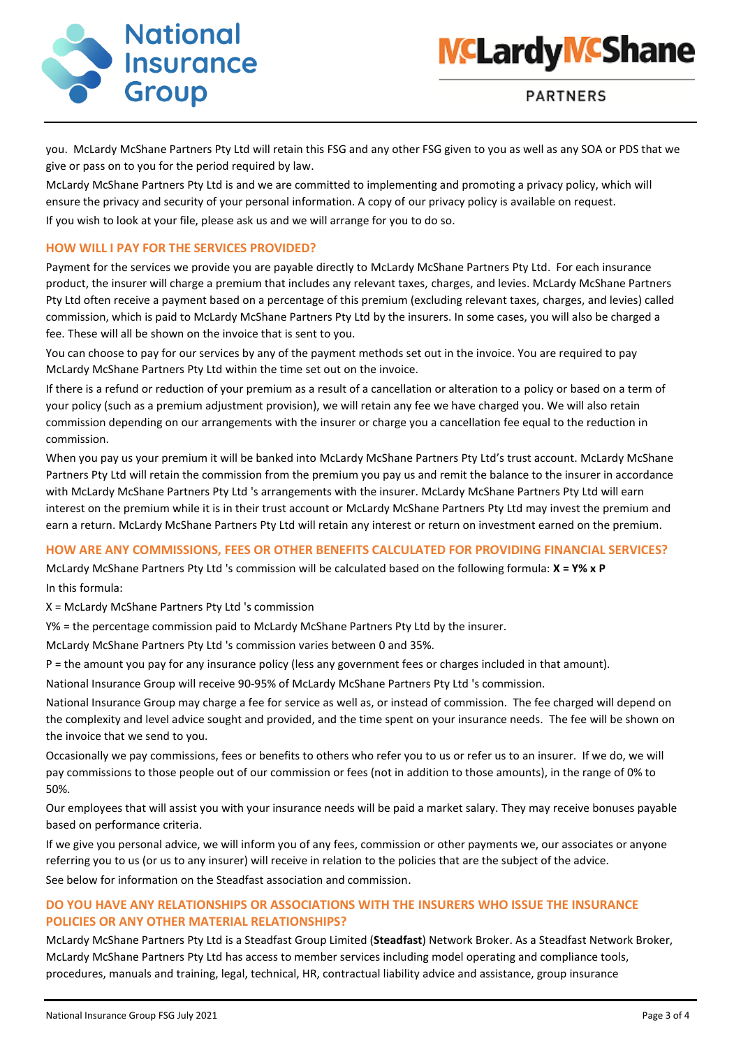



you. McLardy McShane Partners Pty Ltd will retain this FSG and any other FSG given to you as well as any SOA or PDS that we give or pass on to you for the period required by law.

McLardy McShane Partners Pty Ltd is and we are committed to implementing and promoting a privacy policy, which will ensure the privacy and security of your personal information. A copy of our privacy policy is available on request. If you wish to look at your file, please ask us and we will arrange for you to do so.

## **HOW WILL I PAY FOR THE SERVICES PROVIDED?**

Payment for the services we provide you are payable directly to McLardy McShane Partners Pty Ltd. For each insurance product, the insurer will charge a premium that includes any relevant taxes, charges, and levies. McLardy McShane Partners Pty Ltd often receive a payment based on a percentage of this premium (excluding relevant taxes, charges, and levies) called commission, which is paid to McLardy McShane Partners Pty Ltd by the insurers. In some cases, you will also be charged a fee. These will all be shown on the invoice that is sent to you.

You can choose to pay for our services by any of the payment methods set out in the invoice. You are required to pay McLardy McShane Partners Pty Ltd within the time set out on the invoice.

If there is a refund or reduction of your premium as a result of a cancellation or alteration to a policy or based on a term of your policy (such as a premium adjustment provision), we will retain any fee we have charged you. We will also retain commission depending on our arrangements with the insurer or charge you a cancellation fee equal to the reduction in commission.

When you pay us your premium it will be banked into McLardy McShane Partners Pty Ltd's trust account. McLardy McShane Partners Pty Ltd will retain the commission from the premium you pay us and remit the balance to the insurer in accordance with McLardy McShane Partners Pty Ltd 's arrangements with the insurer. McLardy McShane Partners Pty Ltd will earn interest on the premium while it is in their trust account or McLardy McShane Partners Pty Ltd may invest the premium and earn a return. McLardy McShane Partners Pty Ltd will retain any interest or return on investment earned on the premium.

#### **HOW ARE ANY COMMISSIONS, FEES OR OTHER BENEFITS CALCULATED FOR PROVIDING FINANCIAL SERVICES?**

McLardy McShane Partners Pty Ltd 's commission will be calculated based on the following formula: **X = Y% x P**  In this formula:

X = McLardy McShane Partners Pty Ltd 's commission

Y% = the percentage commission paid to McLardy McShane Partners Pty Ltd by the insurer.

McLardy McShane Partners Pty Ltd 's commission varies between 0 and 35%.

P = the amount you pay for any insurance policy (less any government fees or charges included in that amount).

National Insurance Group will receive 90-95% of McLardy McShane Partners Pty Ltd 's commission.

National Insurance Group may charge a fee for service as well as, or instead of commission. The fee charged will depend on the complexity and level advice sought and provided, and the time spent on your insurance needs. The fee will be shown on the invoice that we send to you.

Occasionally we pay commissions, fees or benefits to others who refer you to us or refer us to an insurer. If we do, we will pay commissions to those people out of our commission or fees (not in addition to those amounts), in the range of 0% to 50%.

Our employees that will assist you with your insurance needs will be paid a market salary. They may receive bonuses payable based on performance criteria.

If we give you personal advice, we will inform you of any fees, commission or other payments we, our associates or anyone referring you to us (or us to any insurer) will receive in relation to the policies that are the subject of the advice. See below for information on the Steadfast association and commission.

# **DO YOU HAVE ANY RELATIONSHIPS OR ASSOCIATIONS WITH THE INSURERS WHO ISSUE THE INSURANCE POLICIES OR ANY OTHER MATERIAL RELATIONSHIPS?**

McLardy McShane Partners Pty Ltd is a Steadfast Group Limited (**Steadfast**) Network Broker. As a Steadfast Network Broker, McLardy McShane Partners Pty Ltd has access to member services including model operating and compliance tools, procedures, manuals and training, legal, technical, HR, contractual liability advice and assistance, group insurance